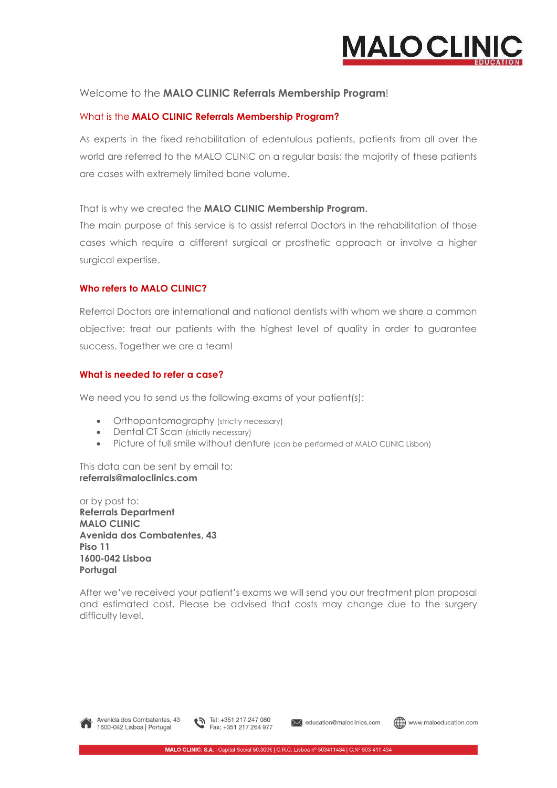

### Welcome to the **MALO CLINIC Referrals Membership Program**!

### What is the **MALO CLINIC Referrals Membership Program?**

As experts in the fixed rehabilitation of edentulous patients, patients from all over the world are referred to the MALO CLINIC on a regular basis; the majority of these patients are cases with extremely limited bone volume.

That is why we created the **MALO CLINIC Membership Program.** 

The main purpose of this service is to assist referral Doctors in the rehabilitation of those cases which require a different surgical or prosthetic approach or involve a higher surgical expertise.

### **Who refers to MALO CLINIC?**

Referral Doctors are international and national dentists with whom we share a common objective: treat our patients with the highest level of quality in order to guarantee success. Together we are a team!

### **What is needed to refer a case?**

We need you to send us the following exams of your patient(s):

- Orthopantomography (strictly necessary)
- Dental CT Scan (strictly necessary)
- Picture of full smile without denture (can be performed at MALO CLINIC Lisbon)

This data can be sent by email to: **[referrals@maloclinics.com](mailto:referrals@maloclinics.com)** 

or by post to: **Referrals Department MALO CLINIC Avenida dos Combatentes, 43 Piso 11 1600-042 Lisboa Portugal** 

After we've received your patient's exams we will send you our treatment plan proposal and estimated cost. Please be advised that costs may change due to the surgery difficulty level.





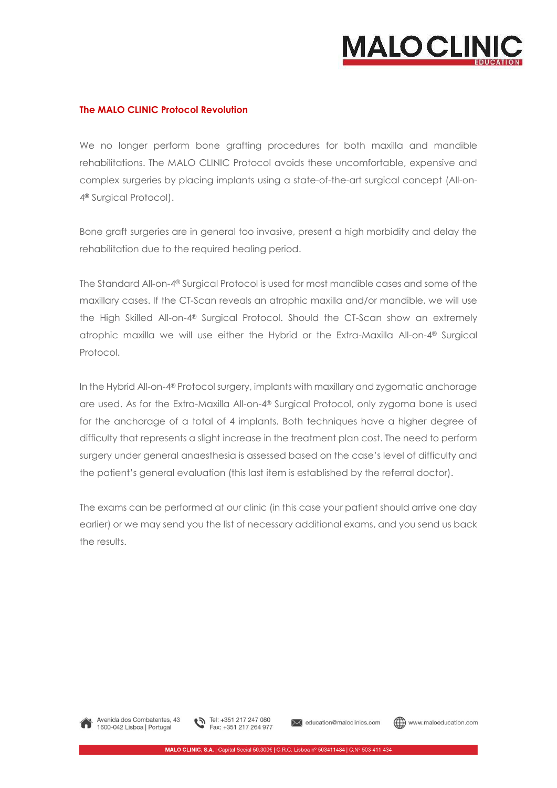

### **The MALO CLINIC Protocol Revolution**

We no longer perform bone grafting procedures for both maxilla and mandible rehabilitations. The MALO CLINIC Protocol avoids these uncomfortable, expensive and complex surgeries by placing implants using a state-of-the-art surgical concept (All-on-4**®** Surgical Protocol).

Bone graft surgeries are in general too invasive, present a high morbidity and delay the rehabilitation due to the required healing period.

The Standard All-on-4® Surgical Protocol is used for most mandible cases and some of the maxillary cases. If the CT-Scan reveals an atrophic maxilla and/or mandible, we will use the High Skilled All-on-4® Surgical Protocol. Should the CT-Scan show an extremely atrophic maxilla we will use either the Hybrid or the Extra-Maxilla All-on-4® Surgical Protocol.

In the Hybrid All-on-4® Protocol surgery, implants with maxillary and zygomatic anchorage are used. As for the Extra-Maxilla All-on-4® Surgical Protocol, only zygoma bone is used for the anchorage of a total of 4 implants. Both techniques have a higher degree of difficulty that represents a slight increase in the treatment plan cost. The need to perform surgery under general anaesthesia is assessed based on the case's level of difficulty and the patient's general evaluation (this last item is established by the referral doctor).

The exams can be performed at our clinic (in this case your patient should arrive one day earlier) or we may send you the list of necessary additional exams, and you send us back the results.



Avenida dos Combatentes, 43 1600-042 Lisboa | Portugal



ducation@maloclinics.com

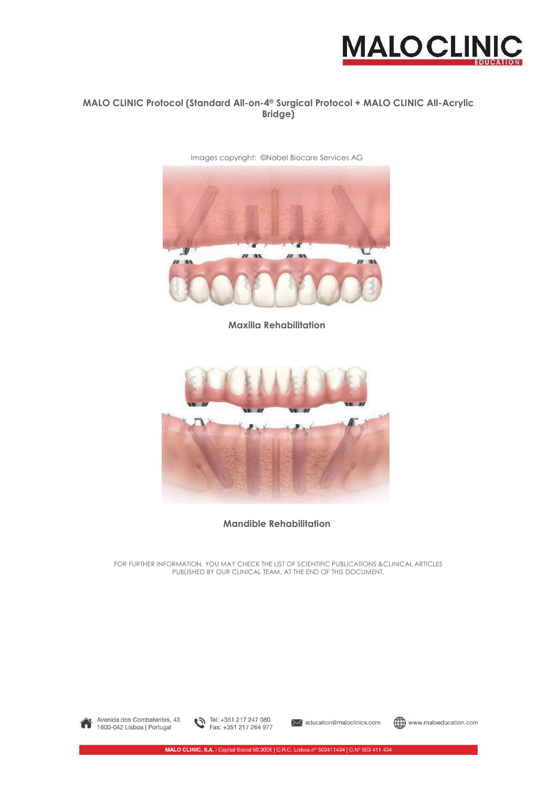

### **MALO CLINIC Protocol (Standard All-on-4® Surgical Protocol + MALO CLINIC All-Acrylic Bridge)**

Images copyright: *©*Nobel Biocare Services AG



**Maxilla Rehabilitation** 



**Mandible Rehabilitation** 

FOR FURTHER INFORMATION, YOU MAY CHECK THE LIST OF SCIENTIFIC PUBLICATIONS &CLINICAL ARTICLES PUBLISHED BY OUR CLINICAL TEAM, AT THE END OF THIS DOCUMENT.



Avenida dos Combatentes, 43 1600-042 Lisboa | Portugal



**X** education@maloclinics.com

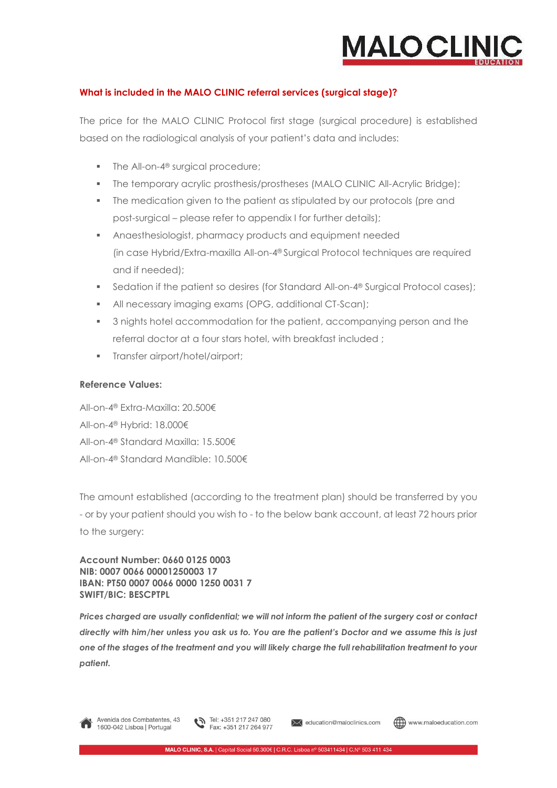

### **What is included in the MALO CLINIC referral services (surgical stage)?**

The price for the MALO CLINIC Protocol first stage (surgical procedure) is established based on the radiological analysis of your patient's data and includes:

- The All-on-4<sup>®</sup> surgical procedure;
- The temporary acrylic prosthesis/prostheses (MALO CLINIC All-Acrylic Bridge);
- The medication given to the patient as stipulated by our protocols (pre and post-surgical – please refer to appendix I for further details);
- Anaesthesiologist, pharmacy products and equipment needed (in case Hybrid/Extra-maxilla All-on-4® Surgical Protocol techniques are required and if needed);
- Sedation if the patient so desires (for Standard All-on-4<sup>®</sup> Surgical Protocol cases);
- All necessary imaging exams (OPG, additional CT-Scan);
- **3** nights hotel accommodation for the patient, accompanying person and the referral doctor at a four stars hotel, with breakfast included ;
- **Transfer airport/hotel/airport;**

### **Reference Values:**

All-on-4® Extra-Maxilla: 20.500€ All-on-4® Hybrid: 18.000€ All-on-4® Standard Maxilla: 15.500€ All-on-4® Standard Mandible: 10.500€

The amount established (according to the treatment plan) should be transferred by you - or by your patient should you wish to - to the below bank account, at least 72 hours prior to the surgery:

**Account Number: 0660 0125 0003 NIB: 0007 0066 00001250003 17 IBAN: PT50 0007 0066 0000 1250 0031 7 SWIFT/BIC: BESCPTPL** 

*Prices charged are usually confidential; we will not inform the patient of the surgery cost or contact directly with him/her unless you ask us to. You are the patient's Doctor and we assume this is just one of the stages of the treatment and you will likely charge the full rehabilitation treatment to your patient.*

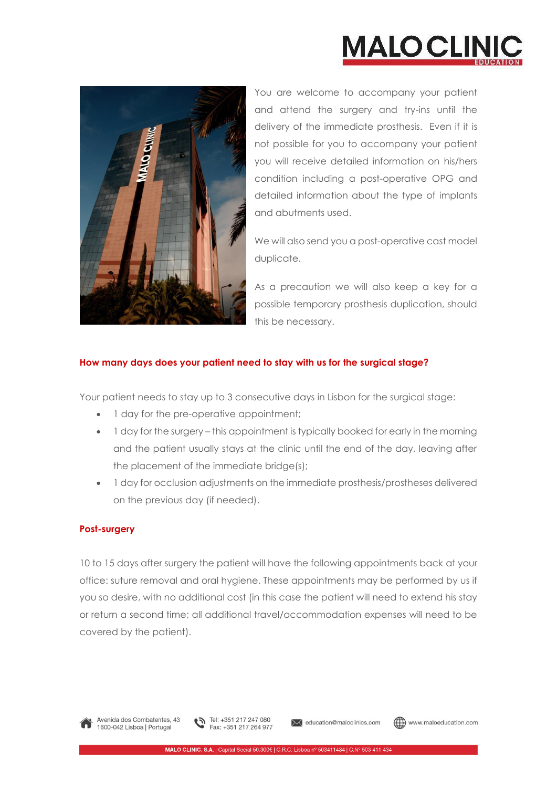



You are welcome to accompany your patient and attend the surgery and try-ins until the delivery of the immediate prosthesis. Even if it is not possible for you to accompany your patient you will receive detailed information on his/hers condition including a post-operative OPG and detailed information about the type of implants and abutments used.

We will also send you a post-operative cast model duplicate.

As a precaution we will also keep a key for a possible temporary prosthesis duplication, should this be necessary.

### **How many days does your patient need to stay with us for the surgical stage?**

Your patient needs to stay up to 3 consecutive days in Lisbon for the surgical stage:

- 1 day for the pre-operative appointment;
- 1 day for the surgery this appointment is typically booked for early in the morning and the patient usually stays at the clinic until the end of the day, leaving after the placement of the immediate bridge(s);
- 1 day for occlusion adjustments on the immediate prosthesis/prostheses delivered on the previous day (if needed).

### **Post-surgery**

10 to 15 days after surgery the patient will have the following appointments back at your office: suture removal and oral hygiene. These appointments may be performed by us if you so desire, with no additional cost (in this case the patient will need to extend his stay or return a second time; all additional travel/accommodation expenses will need to be covered by the patient).



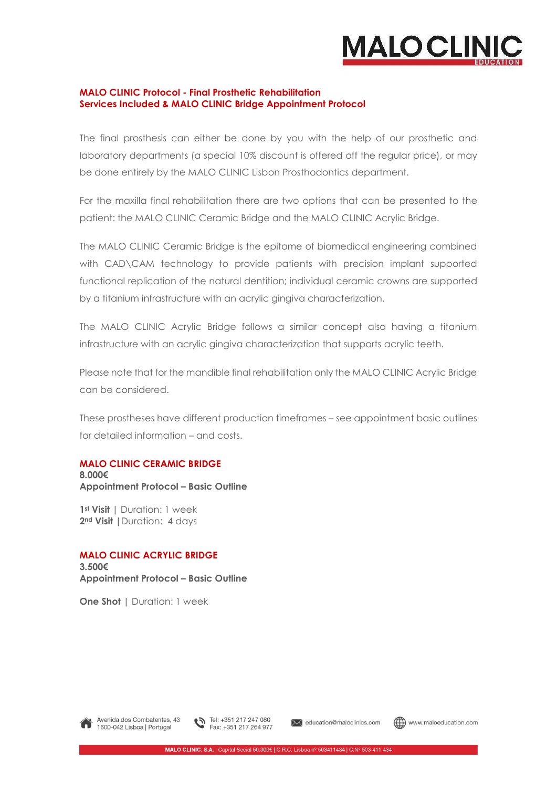

### **MALO CLINIC Protocol - Final Prosthetic Rehabilitation Services Included & MALO CLINIC Bridge Appointment Protocol**

The final prosthesis can either be done by you with the help of our prosthetic and laboratory departments (a special 10% discount is offered off the regular price), or may be done entirely by the MALO CLINIC Lisbon Prosthodontics department.

For the maxilla final rehabilitation there are two options that can be presented to the patient: the MALO CLINIC Ceramic Bridge and the MALO CLINIC Acrylic Bridge.

The MALO CLINIC Ceramic Bridge is the epitome of biomedical engineering combined with CAD\CAM technology to provide patients with precision implant supported functional replication of the natural dentition; individual ceramic crowns are supported by a titanium infrastructure with an acrylic gingiva characterization.

The MALO CLINIC Acrylic Bridge follows a similar concept also having a titanium infrastructure with an acrylic gingiva characterization that supports acrylic teeth.

Please note that for the mandible final rehabilitation only the MALO CLINIC Acrylic Bridge can be considered.

These prostheses have different production timeframes – see appointment basic outlines for detailed information – and costs.

### **MALO CLINIC CERAMIC BRIDGE**

**8.000€ Appointment Protocol – Basic Outline** 

**1st Visit |** Duration: 1 week **2nd Visit |**Duration: 4 days

#### **MALO CLINIC ACRYLIC BRIDGE**

**3.500€ Appointment Protocol – Basic Outline** 

**One Shot | Duration: 1 week** 



Avenida dos Combatentes, 43 1600-042 Lisboa | Portugal



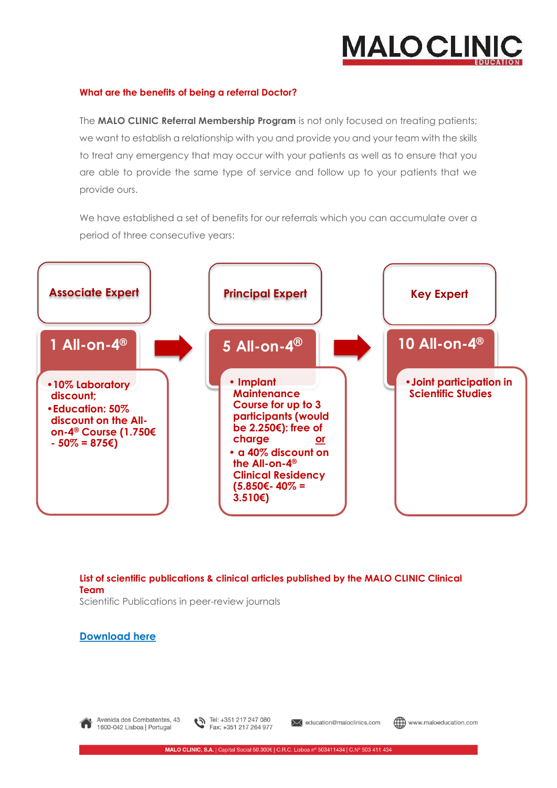## **MALOCLINK**

### **What are the benefits of being a referral Doctor?**

The **MALO CLINIC Referral Membership Program** is not only focused on treating patients; we want to establish a relationship with you and provide you and your team with the skills to treat any emergency that may occur with your patients as well as to ensure that you are able to provide the same type of service and follow up to your patients that we provide ours.

We have established a set of benefits for our referrals which you can accumulate over a period of three consecutive years:



**List of scientific publications & clinical articles published by the MALO CLINIC Clinical Team** 

Scientific Publications in peer-review journals

### **Download here**



Avenida dos Combatentes, 43 1600-042 Lisboa | Portugal



**X** education@maloclinics.com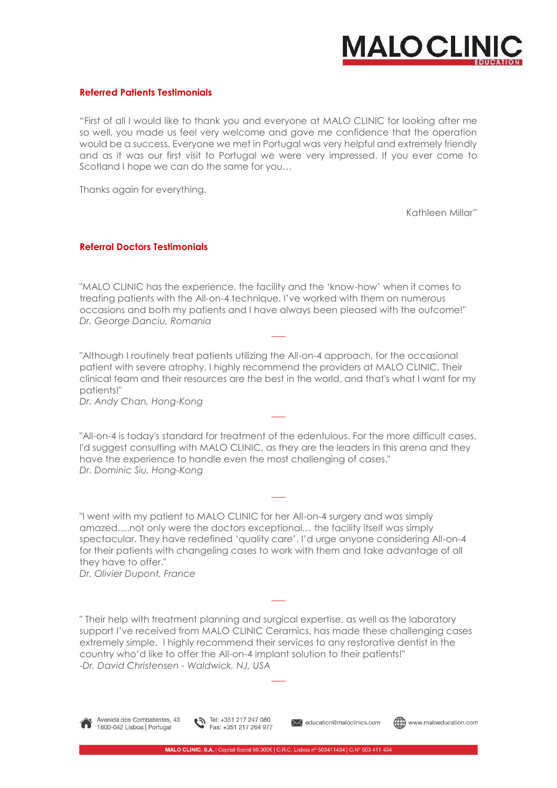

### **Referred Patients Testimonials**

"First of all I would like to thank you and everyone at MALO CLINIC for looking after me so well, you made us feel very welcome and gave me confidence that the operation would be a success. Everyone we met in Portugal was very helpful and extremely friendly and as it was our first visit to Portugal we were very impressed. If you ever come to Scotland I hope we can do the same for you…

Thanks again for everything.

Kathleen Millar"

#### **Referral Doctors Testimonials**

"MALO CLINIC has the experience, the facility and the 'know-how' when it comes to treating patients with the All-on-4 technique. I've worked with them on numerous occasions and both my patients and I have always been pleased with the outcome!" *Dr. George Danciu, Romania*

"Although I routinely treat patients utilizing the All-on-4 approach, for the occasional patient with severe atrophy, I highly recommend the providers at MALO CLINIC. Their clinical team and their resources are the best in the world, and that's what I want for my patients!"

 $\overline{\phantom{a}}$ 

 $\overline{\phantom{a}}$ 

*Dr. Andy Chan, Hong-Kong*

"All-on-4 is today's standard for treatment of the edentulous. For the more difficult cases, I'd suggest consulting with MALO CLINIC, as they are the leaders in this arena and they have the experience to handle even the most challenging of cases." *Dr. Dominic Siu, Hong-Kong*

 $\overline{\phantom{a}}$ 

"I went with my patient to MALO CLINIC for her All-on-4 surgery and was simply amazed….not only were the doctors exceptional… the facility itself was simply spectacular. They have redefined 'quality care'. I'd urge anyone considering All-on-4 for their patients with changeling cases to work with them and take advantage of all they have to offer."

*Dr. Olivier Dupont, France*

" Their help with treatment planning and surgical expertise, as well as the laboratory support I've received from MALO CLINIC Ceramics, has made these challenging cases extremely simple. I highly recommend their services to any restorative dentist in the country who'd like to offer the All-on-4 implant solution to their patients!" -*Dr. David Christensen - Waldwick, NJ, USA* 

 $\overline{\phantom{a}}$ 

 $\overline{\phantom{a}}$ 



Avenida dos Combatentes, 43 1600-042 Lisboa | Portugal

Tel: +351 217 247 080 Fax: +351 217 264 977

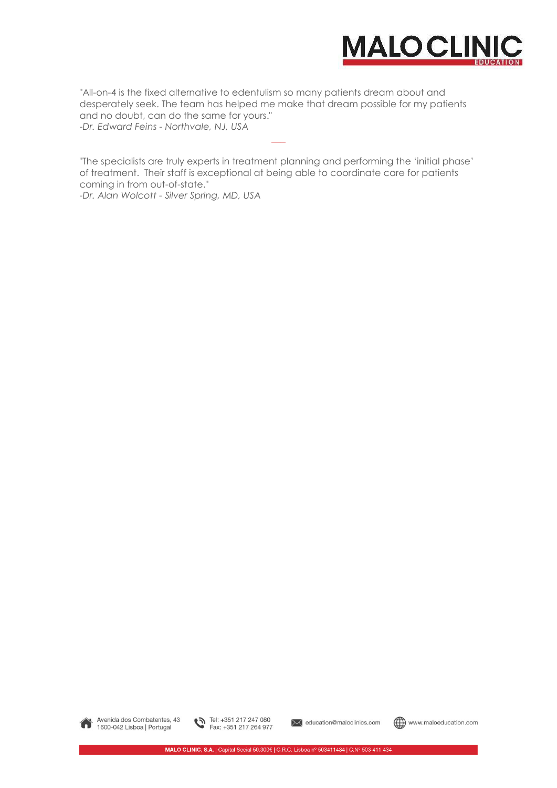

"All-on-4 is the fixed alternative to edentulism so many patients dream about and desperately seek. The team has helped me make that dream possible for my patients and no doubt, can do the same for yours." -*Dr. Edward Feins - Northvale, NJ, USA* 

"The specialists are truly experts in treatment planning and performing the 'initial phase' of treatment. Their staff is exceptional at being able to coordinate care for patients coming in from out-of-state."

 $\overline{\phantom{a}}$ 

-*Dr. Alan Wolcott - Silver Spring, MD, USA*





**X** education@maloclinics.com

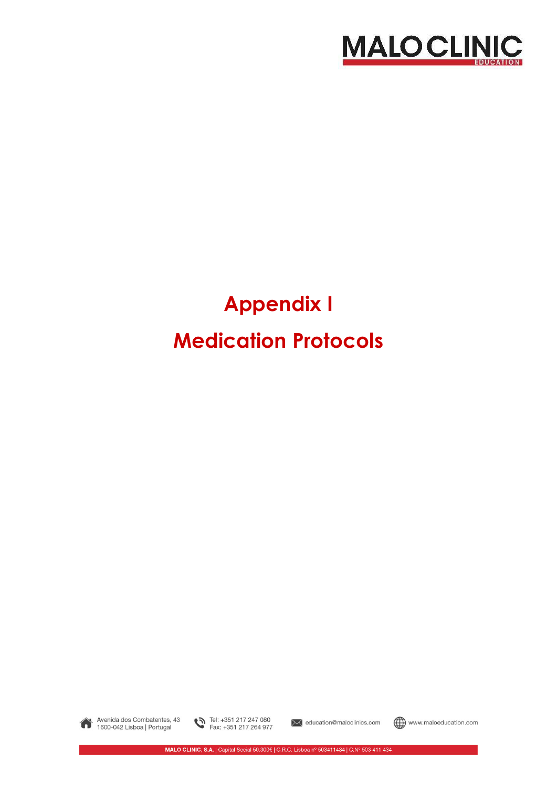

### **Appendix I Medication Protocols**



Avenida dos Combatentes, 43 1600-042 Lisboa | Portugal

Tel: +351 217 247 080<br>Fax: +351 217 264 977

ducation@maloclinics.com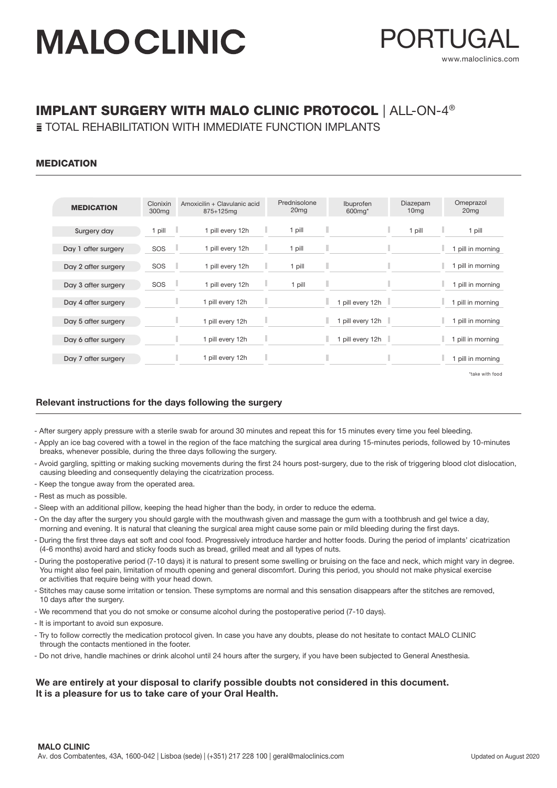

### IMPLANT SURGERY WITH MALO CLINIC PROTOCOL | ALL-ON-4®

**E TOTAL REHABILITATION WITH IMMEDIATE FUNCTION IMPLANTS** 

### MEDICATION

| <b>MEDICATION</b>   | Clonixin<br>300 <sub>mg</sub> | Amoxicilin + Clavulanic acid<br>$875 + 125$ mg | Prednisolone<br>20 <sub>mg</sub> | Ibuprofen<br>600mg*   | Diazepam<br>10 <sub>mg</sub> | Omeprazol<br>20 <sub>mg</sub> |
|---------------------|-------------------------------|------------------------------------------------|----------------------------------|-----------------------|------------------------------|-------------------------------|
| Surgery day         | 1 pill<br>n Li                | 1 pill every 12h                               | 1 pill<br>٠                      | ٠<br>ı                | 1 pill                       | 1 pill<br>٠                   |
| Day 1 after surgery | a li<br>SOS                   | 1 pill every 12h                               | ٠<br>1 pill                      | П                     |                              | 1 pill in morning             |
| Day 2 after surgery | SOS<br>a li                   | 1 pill every 12h                               | 1 pill                           | ٠                     |                              | pill in morning               |
| Day 3 after surgery | SOS                           | 1 pill every 12h                               | ٠<br>1 pill                      | П                     |                              | 1 pill in morning             |
| Day 4 after surgery |                               | 1 pill every 12h                               | ı                                | ٠<br>1 pill every 12h |                              | 1 pill in morning             |
| Day 5 after surgery |                               | ٠<br>1 pill every 12h                          |                                  | ٠<br>1 pill every 12h |                              | 1 pill in morning             |
| Day 6 after surgery |                               | ٠<br>1 pill every 12h                          | ı                                | п<br>1 pill every 12h |                              | 1 pill in morning             |
| Day 7 after surgery |                               | 1 pill every 12h                               | ı                                |                       |                              | 1 pill in morning             |

\*take with food

### Relevant instructions for the days following the surgery

- After surgery apply pressure with a sterile swab for around 30 minutes and repeat this for 15 minutes every time you feel bleeding.

- Apply an ice bag covered with a towel in the region of the face matching the surgical area during 15-minutes periods, followed by 10-minutes breaks, whenever possible, during the three days following the surgery.
- Avoid gargling, spitting or making sucking movements during the first 24 hours post-surgery, due to the risk of triggering blood clot dislocation, causing bleeding and consequently delaying the cicatrization process.
- Keep the tongue away from the operated area.
- Rest as much as possible.
- Sleep with an additional pillow, keeping the head higher than the body, in order to reduce the edema.
- On the day after the surgery you should gargle with the mouthwash given and massage the gum with a toothbrush and gel twice a day, morning and evening. It is natural that cleaning the surgical area might cause some pain or mild bleeding during the first days.
- During the first three days eat soft and cool food. Progressively introduce harder and hotter foods. During the period of implants' cicatrization (4-6 months) avoid hard and sticky foods such as bread, grilled meat and all types of nuts.
- During the postoperative period (7-10 days) it is natural to present some swelling or bruising on the face and neck, which might vary in degree. You might also feel pain, limitation of mouth opening and general discomfort. During this period, you should not make physical exercise or activities that require being with your head down.
- Stitches may cause some irritation or tension. These symptoms are normal and this sensation disappears after the stitches are removed, 10 days after the surgery.
- We recommend that you do not smoke or consume alcohol during the postoperative period (7-10 days).
- It is important to avoid sun exposure.
- Try to follow correctly the medication protocol given. In case you have any doubts, please do not hesitate to contact MALO CLINIC through the contacts mentioned in the footer.
- Do not drive, handle machines or drink alcohol until 24 hours after the surgery, if you have been subjected to General Anesthesia.

### We are entirely at your disposal to clarify possible doubts not considered in this document. It is a pleasure for us to take care of your Oral Health.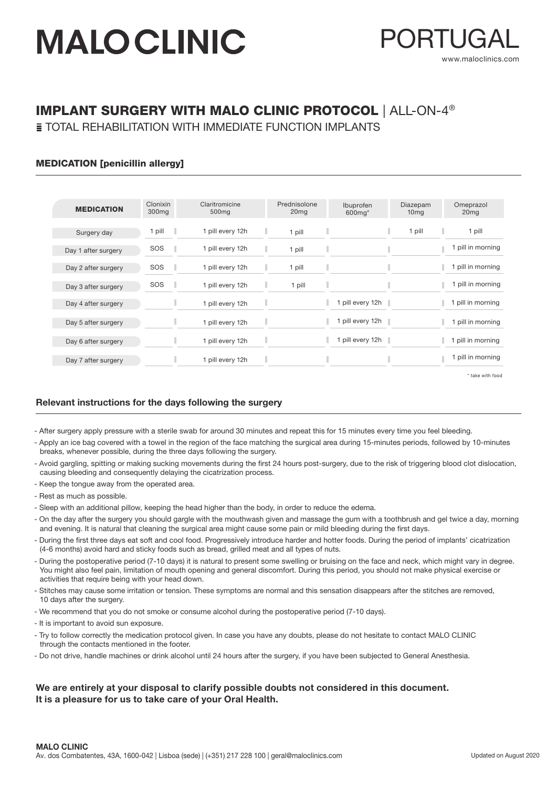

### IMPLANT SURGERY WITH MALO CLINIC PROTOCOL | ALL-ON-4®

**E TOTAL REHABILITATION WITH IMMEDIATE FUNCTION IMPLANTS** 

### MEDICATION [penicillin allergy]

| <b>MEDICATION</b>   | Clonixin<br>300 <sub>mg</sub> | Claritromicine<br>500 <sub>mg</sub> | Prednisolone<br>20 <sub>mg</sub> | Ibuprofen<br>600mg* | Diazepam<br>10 <sub>mg</sub> | Omeprazol<br>20 <sub>mg</sub> |
|---------------------|-------------------------------|-------------------------------------|----------------------------------|---------------------|------------------------------|-------------------------------|
| Surgery day         | pill                          | 1 pill every 12h                    | J.<br>1 pill                     |                     | 1 pill                       | 1 pill                        |
| Day 1 after surgery | SOS                           | 1 pill every 12h                    | п<br>1 pill                      |                     |                              | pill in morning               |
| Day 2 after surgery | SOS                           | 1 pill every 12h                    | ш<br>1 pill                      |                     |                              | pill in morning               |
| Day 3 after surgery | SOS                           | 1 pill every 12h                    | ı<br>1 pill                      | I                   |                              | pill in morning               |
| Day 4 after surgery |                               | 1 pill every 12h                    | ٠                                | 1 pill every 12h    |                              | 1 pill in morning             |
| Day 5 after surgery |                               | 1 pill every 12h                    | ı                                | 1 pill every 12h    |                              | pill in morning               |
| Day 6 after surgery |                               | 1 pill every 12h                    | П                                | 1 pill every 12h    |                              | 1 pill in morning             |
| Day 7 after surgery |                               | 1 pill every 12h                    | Π                                |                     |                              | pill in morning               |

\* take with food

### Relevant instructions for the days following the surgery

- After surgery apply pressure with a sterile swab for around 30 minutes and repeat this for 15 minutes every time you feel bleeding.
- Apply an ice bag covered with a towel in the region of the face matching the surgical area during 15-minutes periods, followed by 10-minutes breaks, whenever possible, during the three days following the surgery.
- Avoid gargling, spitting or making sucking movements during the first 24 hours post-surgery, due to the risk of triggering blood clot dislocation, causing bleeding and consequently delaying the cicatrization process.
- Keep the tongue away from the operated area.
- Rest as much as possible.
- Sleep with an additional pillow, keeping the head higher than the body, in order to reduce the edema.
- On the day after the surgery you should gargle with the mouthwash given and massage the gum with a toothbrush and gel twice a day, morning and evening. It is natural that cleaning the surgical area might cause some pain or mild bleeding during the first days.
- During the first three days eat soft and cool food. Progressively introduce harder and hotter foods. During the period of implants' cicatrization (4-6 months) avoid hard and sticky foods such as bread, grilled meat and all types of nuts.
- During the postoperative period (7-10 days) it is natural to present some swelling or bruising on the face and neck, which might vary in degree. You might also feel pain, limitation of mouth opening and general discomfort. During this period, you should not make physical exercise or activities that require being with your head down.
- Stitches may cause some irritation or tension. These symptoms are normal and this sensation disappears after the stitches are removed, 10 days after the surgery.
- We recommend that you do not smoke or consume alcohol during the postoperative period (7-10 days).
- It is important to avoid sun exposure.
- Try to follow correctly the medication protocol given. In case you have any doubts, please do not hesitate to contact MALO CLINIC through the contacts mentioned in the footer.
- Do not drive, handle machines or drink alcohol until 24 hours after the surgery, if you have been subjected to General Anesthesia.

### We are entirely at your disposal to clarify possible doubts not considered in this document. It is a pleasure for us to take care of your Oral Health.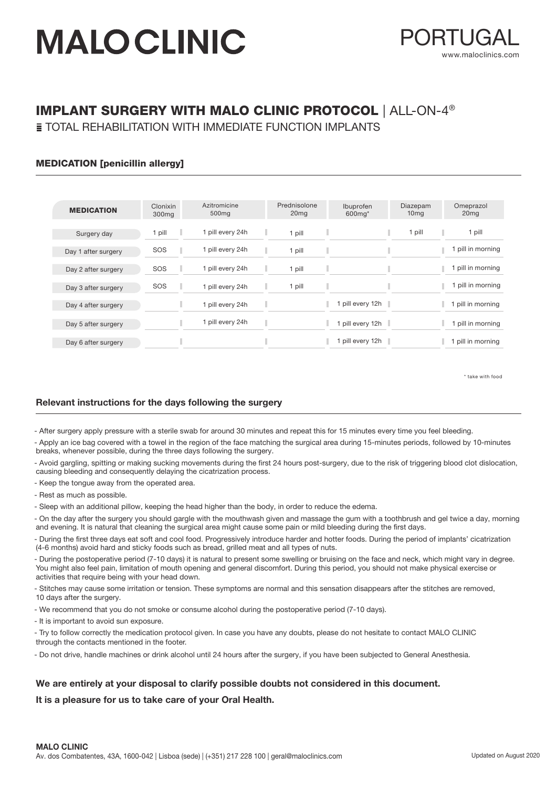

### IMPLANT SURGERY WITH MALO CLINIC PROTOCOL | ALL-ON-4®

**E TOTAL REHABILITATION WITH IMMEDIATE FUNCTION IMPLANTS** 

### MEDICATION [penicillin allergy]

| <b>MEDICATION</b>   | Clonixin<br>300 <sub>mg</sub> | Azitromicine<br>500 <sub>mg</sub> | Prednisolone<br>20 <sub>mg</sub> | Ibuprofen<br>600mg*          | Diazepam<br>10 <sub>mg</sub> | Omeprazol<br>20 <sub>mg</sub> |
|---------------------|-------------------------------|-----------------------------------|----------------------------------|------------------------------|------------------------------|-------------------------------|
|                     |                               |                                   |                                  |                              |                              |                               |
| Surgery day         | 1 pill                        | 1 pill every 24h                  | 1 pill                           |                              | 1 pill                       | 1 pill<br>٠                   |
| Day 1 after surgery | SOS                           | 1 pill every 24h                  | 1 pill                           |                              |                              | 1 pill in morning             |
| Day 2 after surgery | SOS                           | 1 pill every 24h                  | pill                             |                              |                              | pill in morning               |
| Day 3 after surgery | SOS                           | 1 pill every 24h                  | 1 pill                           |                              |                              | pill in morning               |
| Day 4 after surgery |                               | 1 pill every 24h                  |                                  | 1 pill every 12h $\parallel$ |                              | ٠<br>pill in morning          |
| Day 5 after surgery |                               | 1 pill every 24h                  |                                  | 1 pill every 12h             |                              | ٠<br>1 pill in morning        |
| Day 6 after surgery |                               |                                   |                                  | pill every 12h               |                              | pill in morning               |

\* take with food

### Relevant instructions for the days following the surgery

- After surgery apply pressure with a sterile swab for around 30 minutes and repeat this for 15 minutes every time you feel bleeding.

- Apply an ice bag covered with a towel in the region of the face matching the surgical area during 15-minutes periods, followed by 10-minutes breaks, whenever possible, during the three days following the surgery.

- Avoid gargling, spitting or making sucking movements during the first 24 hours post-surgery, due to the risk of triggering blood clot dislocation, causing bleeding and consequently delaying the cicatrization process.

- Keep the tongue away from the operated area.

- Rest as much as possible.

- Sleep with an additional pillow, keeping the head higher than the body, in order to reduce the edema.

- On the day after the surgery you should gargle with the mouthwash given and massage the gum with a toothbrush and gel twice a day, morning and evening. It is natural that cleaning the surgical area might cause some pain or mild bleeding during the first days.

- During the first three days eat soft and cool food. Progressively introduce harder and hotter foods. During the period of implants' cicatrization (4-6 months) avoid hard and sticky foods such as bread, grilled meat and all types of nuts.

- During the postoperative period (7-10 days) it is natural to present some swelling or bruising on the face and neck, which might vary in degree. You might also feel pain, limitation of mouth opening and general discomfort. During this period, you should not make physical exercise or activities that require being with your head down.

- Stitches may cause some irritation or tension. These symptoms are normal and this sensation disappears after the stitches are removed, 10 days after the surgery.

- We recommend that you do not smoke or consume alcohol during the postoperative period (7-10 days).

- It is important to avoid sun exposure.

- Try to follow correctly the medication protocol given. In case you have any doubts, please do not hesitate to contact MALO CLINIC through the contacts mentioned in the footer.

- Do not drive, handle machines or drink alcohol until 24 hours after the surgery, if you have been subjected to General Anesthesia.

#### We are entirely at your disposal to clarify possible doubts not considered in this document.

It is a pleasure for us to take care of your Oral Health.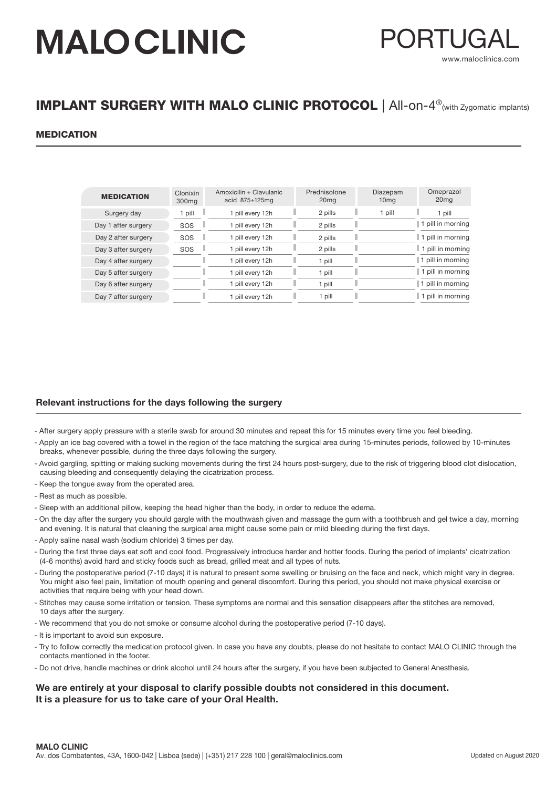

### IMPLANT SURGERY WITH MALO CLINIC PROTOCOL | All-on-4<sup>®</sup>(with Zygomatic implants)

### MEDICATION

| <b>MEDICATION</b>   | Clonixin<br>300 <sub>mg</sub> | Amoxicilin + Clavulanic<br>acid 875+125mg | Prednisolone<br>20 <sub>mg</sub> | Diazepam<br>10 <sub>mg</sub> | Omeprazol<br>20 <sub>mg</sub> |
|---------------------|-------------------------------|-------------------------------------------|----------------------------------|------------------------------|-------------------------------|
| Surgery day         | 1 pill                        | 1 pill every 12h                          | 2 pills                          | 1 pill                       | pill<br>ш                     |
| Day 1 after surgery | SOS                           | pill every 12h                            | 2 pills                          |                              | 1 pill in morning             |
| Day 2 after surgery | SOS                           | pill every 12h                            | 2 pills                          |                              | 1 pill in morning             |
| Day 3 after surgery | SOS                           | I pill every 12h                          | 2 pills                          |                              | 1 1 pill in morning           |
| Day 4 after surgery |                               | pill every 12h                            | 1 pill                           |                              | 1 pill in morning             |
| Day 5 after surgery |                               | pill every 12h                            | pill                             |                              | 1 pill in morning             |
| Day 6 after surgery |                               | pill every 12h                            | 1 pill                           |                              | 1 pill in morning             |
| Day 7 after surgery |                               | pill every 12h                            | 1 pill                           |                              | 1 pill in morning             |

#### Relevant instructions for the days following the surgery

- After surgery apply pressure with a sterile swab for around 30 minutes and repeat this for 15 minutes every time you feel bleeding.
- Apply an ice bag covered with a towel in the region of the face matching the surgical area during 15-minutes periods, followed by 10-minutes breaks, whenever possible, during the three days following the surgery.
- Avoid gargling, spitting or making sucking movements during the first 24 hours post-surgery, due to the risk of triggering blood clot dislocation, causing bleeding and consequently delaying the cicatrization process.
- Keep the tongue away from the operated area.
- Rest as much as possible.
- Sleep with an additional pillow, keeping the head higher than the body, in order to reduce the edema.
- On the day after the surgery you should gargle with the mouthwash given and massage the gum with a toothbrush and gel twice a day, morning and evening. It is natural that cleaning the surgical area might cause some pain or mild bleeding during the first days.
- Apply saline nasal wash (sodium chloride) 3 times per day.
- During the first three days eat soft and cool food. Progressively introduce harder and hotter foods. During the period of implants' cicatrization (4-6 months) avoid hard and sticky foods such as bread, grilled meat and all types of nuts.
- During the postoperative period (7-10 days) it is natural to present some swelling or bruising on the face and neck, which might vary in degree. You might also feel pain, limitation of mouth opening and general discomfort. During this period, you should not make physical exercise or activities that require being with your head down.
- Stitches may cause some irritation or tension. These symptoms are normal and this sensation disappears after the stitches are removed, 10 days after the surgery.
- We recommend that you do not smoke or consume alcohol during the postoperative period (7-10 days).
- It is important to avoid sun exposure.
- Try to follow correctly the medication protocol given. In case you have any doubts, please do not hesitate to contact MALO CLINIC through the contacts mentioned in the footer.
- Do not drive, handle machines or drink alcohol until 24 hours after the surgery, if you have been subjected to General Anesthesia.

#### We are entirely at your disposal to clarify possible doubts not considered in this document. It is a pleasure for us to take care of your Oral Health.